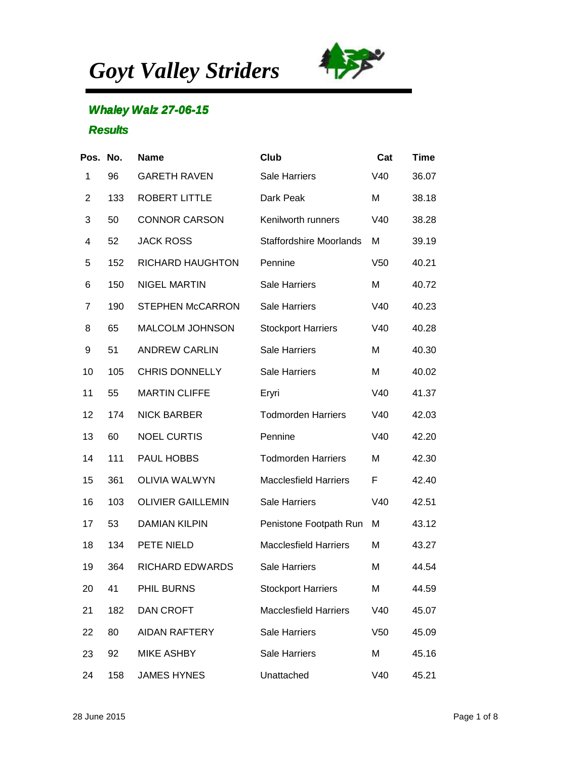*Goyt Valley Striders*



## **Whaley Walz 27-06-15**

## **Results**

| Pos. No.       |     | <b>Name</b>              | <b>Club</b>                    | Cat             | <b>Time</b> |
|----------------|-----|--------------------------|--------------------------------|-----------------|-------------|
| 1              | 96  | <b>GARETH RAVEN</b>      | Sale Harriers                  | V40             | 36.07       |
| $\overline{2}$ | 133 | <b>ROBERT LITTLE</b>     | Dark Peak                      | M               | 38.18       |
| 3              | 50  | <b>CONNOR CARSON</b>     | Kenilworth runners             | V40             | 38.28       |
| 4              | 52  | <b>JACK ROSS</b>         | <b>Staffordshire Moorlands</b> | M               | 39.19       |
| 5              | 152 | <b>RICHARD HAUGHTON</b>  | Pennine                        | V <sub>50</sub> | 40.21       |
| 6              | 150 | <b>NIGEL MARTIN</b>      | <b>Sale Harriers</b>           | M               | 40.72       |
| 7              | 190 | <b>STEPHEN McCARRON</b>  | <b>Sale Harriers</b>           | V40             | 40.23       |
| 8              | 65  | MALCOLM JOHNSON          | <b>Stockport Harriers</b>      | V40             | 40.28       |
| 9              | 51  | <b>ANDREW CARLIN</b>     | <b>Sale Harriers</b>           | M               | 40.30       |
| 10             | 105 | <b>CHRIS DONNELLY</b>    | <b>Sale Harriers</b>           | M               | 40.02       |
| 11             | 55  | <b>MARTIN CLIFFE</b>     | Eryri                          | V40             | 41.37       |
| 12             | 174 | <b>NICK BARBER</b>       | <b>Todmorden Harriers</b>      | V40             | 42.03       |
| 13             | 60  | <b>NOEL CURTIS</b>       | Pennine                        | V40             | 42.20       |
| 14             | 111 | PAUL HOBBS               | <b>Todmorden Harriers</b>      | Μ               | 42.30       |
| 15             | 361 | <b>OLIVIA WALWYN</b>     | <b>Macclesfield Harriers</b>   | F               | 42.40       |
| 16             | 103 | <b>OLIVIER GAILLEMIN</b> | <b>Sale Harriers</b>           | V40             | 42.51       |
| 17             | 53  | <b>DAMIAN KILPIN</b>     | Penistone Footpath Run         | M               | 43.12       |
| 18             | 134 | PETE NIELD               | <b>Macclesfield Harriers</b>   | M               | 43.27       |
| 19             | 364 | <b>RICHARD EDWARDS</b>   | <b>Sale Harriers</b>           | M               | 44.54       |
| 20             | 41  | PHIL BURNS               | <b>Stockport Harriers</b>      | Μ               | 44.59       |
| 21             | 182 | <b>DAN CROFT</b>         | <b>Macclesfield Harriers</b>   | V40             | 45.07       |
| 22             | 80  | <b>AIDAN RAFTERY</b>     | <b>Sale Harriers</b>           | V <sub>50</sub> | 45.09       |
| 23             | 92  | <b>MIKE ASHBY</b>        | <b>Sale Harriers</b>           | M               | 45.16       |
| 24             | 158 | <b>JAMES HYNES</b>       | Unattached                     | V40             | 45.21       |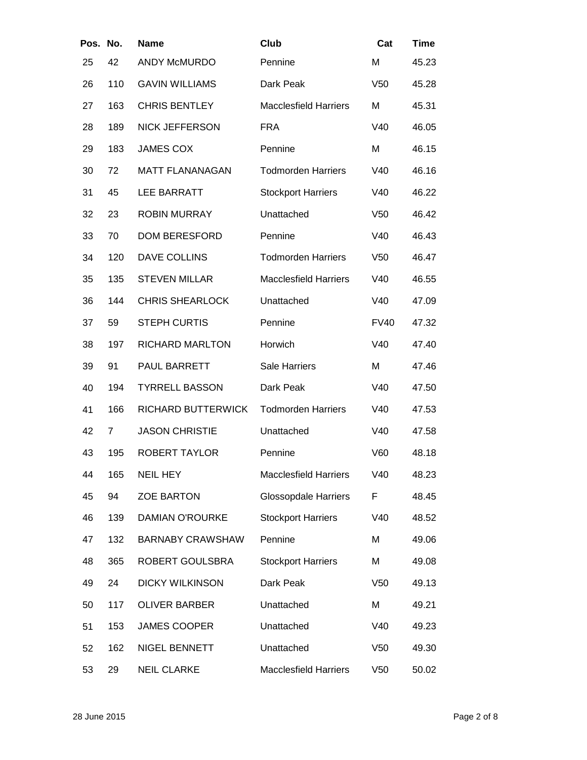| Pos. No. |     | <b>Name</b>             | Club                         | Cat             | <b>Time</b> |
|----------|-----|-------------------------|------------------------------|-----------------|-------------|
| 25       | 42  | <b>ANDY McMURDO</b>     | Pennine                      | M               | 45.23       |
| 26       | 110 | <b>GAVIN WILLIAMS</b>   | Dark Peak                    | V <sub>50</sub> | 45.28       |
| 27       | 163 | <b>CHRIS BENTLEY</b>    | <b>Macclesfield Harriers</b> | M               | 45.31       |
| 28       | 189 | <b>NICK JEFFERSON</b>   | <b>FRA</b>                   | V40             | 46.05       |
| 29       | 183 | <b>JAMES COX</b>        | Pennine                      | M               | 46.15       |
| 30       | 72  | <b>MATT FLANANAGAN</b>  | <b>Todmorden Harriers</b>    | V40             | 46.16       |
| 31       | 45  | <b>LEE BARRATT</b>      | <b>Stockport Harriers</b>    | V40             | 46.22       |
| 32       | 23  | <b>ROBIN MURRAY</b>     | Unattached                   | V <sub>50</sub> | 46.42       |
| 33       | 70  | <b>DOM BERESFORD</b>    | Pennine                      | V40             | 46.43       |
| 34       | 120 | <b>DAVE COLLINS</b>     | <b>Todmorden Harriers</b>    | V <sub>50</sub> | 46.47       |
| 35       | 135 | <b>STEVEN MILLAR</b>    | <b>Macclesfield Harriers</b> | V40             | 46.55       |
| 36       | 144 | <b>CHRIS SHEARLOCK</b>  | Unattached                   | V40             | 47.09       |
| 37       | 59  | <b>STEPH CURTIS</b>     | Pennine                      | <b>FV40</b>     | 47.32       |
| 38       | 197 | <b>RICHARD MARLTON</b>  | Horwich                      | V40             | 47.40       |
| 39       | 91  | PAUL BARRETT            | Sale Harriers                | M               | 47.46       |
| 40       | 194 | <b>TYRRELL BASSON</b>   | Dark Peak                    | V40             | 47.50       |
| 41       | 166 | RICHARD BUTTERWICK      | <b>Todmorden Harriers</b>    | V40             | 47.53       |
| 42       | 7   | <b>JASON CHRISTIE</b>   | Unattached                   | V40             | 47.58       |
| 43       | 195 | ROBERT TAYLOR           | Pennine                      | V60             | 48.18       |
| 44       | 165 | <b>NEIL HEY</b>         | <b>Macclesfield Harriers</b> | V40             | 48.23       |
| 45       | 94  | <b>ZOE BARTON</b>       | <b>Glossopdale Harriers</b>  | F               | 48.45       |
| 46       | 139 | DAMIAN O'ROURKE         | <b>Stockport Harriers</b>    | V40             | 48.52       |
| 47       | 132 | <b>BARNABY CRAWSHAW</b> | Pennine                      | M               | 49.06       |
| 48       | 365 | ROBERT GOULSBRA         | <b>Stockport Harriers</b>    | M               | 49.08       |
| 49       | 24  | <b>DICKY WILKINSON</b>  | Dark Peak                    | V <sub>50</sub> | 49.13       |
| 50       | 117 | <b>OLIVER BARBER</b>    | Unattached                   | M               | 49.21       |
| 51       | 153 | <b>JAMES COOPER</b>     | Unattached                   | V40             | 49.23       |
| 52       | 162 | NIGEL BENNETT           | Unattached                   | V <sub>50</sub> | 49.30       |
| 53       | 29  | <b>NEIL CLARKE</b>      | <b>Macclesfield Harriers</b> | V50             | 50.02       |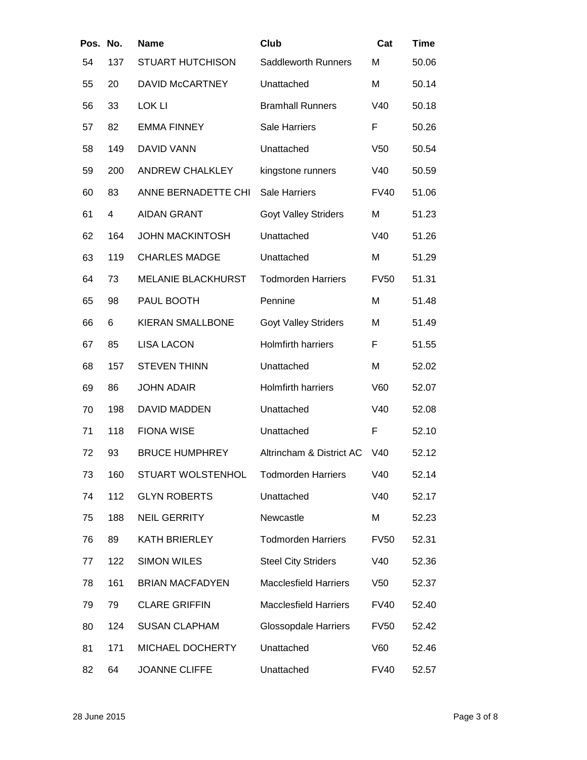| Pos. No. |     | <b>Name</b>               | Club                         | Cat             | <b>Time</b> |
|----------|-----|---------------------------|------------------------------|-----------------|-------------|
| 54       | 137 | <b>STUART HUTCHISON</b>   | Saddleworth Runners          | M               | 50.06       |
| 55       | 20  | DAVID McCARTNEY           | Unattached                   | M               | 50.14       |
| 56       | 33  | LOK LI                    | <b>Bramhall Runners</b>      | V40             | 50.18       |
| 57       | 82  | <b>EMMA FINNEY</b>        | <b>Sale Harriers</b>         | F               | 50.26       |
| 58       | 149 | <b>DAVID VANN</b>         | Unattached                   | V <sub>50</sub> | 50.54       |
| 59       | 200 | <b>ANDREW CHALKLEY</b>    | kingstone runners            | V40             | 50.59       |
| 60       | 83  | ANNE BERNADETTE CHI       | Sale Harriers                | <b>FV40</b>     | 51.06       |
| 61       | 4   | <b>AIDAN GRANT</b>        | <b>Goyt Valley Striders</b>  | M               | 51.23       |
| 62       | 164 | <b>JOHN MACKINTOSH</b>    | Unattached                   | V40             | 51.26       |
| 63       | 119 | <b>CHARLES MADGE</b>      | Unattached                   | M               | 51.29       |
| 64       | 73  | <b>MELANIE BLACKHURST</b> | <b>Todmorden Harriers</b>    | <b>FV50</b>     | 51.31       |
| 65       | 98  | PAUL BOOTH                | Pennine                      | M               | 51.48       |
| 66       | 6   | <b>KIERAN SMALLBONE</b>   | <b>Goyt Valley Striders</b>  | M               | 51.49       |
| 67       | 85  | <b>LISA LACON</b>         | <b>Holmfirth harriers</b>    | F               | 51.55       |
| 68       | 157 | <b>STEVEN THINN</b>       | Unattached                   | M               | 52.02       |
| 69       | 86  | <b>JOHN ADAIR</b>         | <b>Holmfirth harriers</b>    | V60             | 52.07       |
| 70       | 198 | <b>DAVID MADDEN</b>       | Unattached                   | V40             | 52.08       |
| 71       | 118 | <b>FIONA WISE</b>         | Unattached                   | F               | 52.10       |
| 72       | 93  | <b>BRUCE HUMPHREY</b>     | Altrincham & District AC     | V40             | 52.12       |
| 73       | 160 | STUART WOLSTENHOL         | <b>Todmorden Harriers</b>    | V40             | 52.14       |
| 74       | 112 | <b>GLYN ROBERTS</b>       | Unattached                   | V40             | 52.17       |
| 75       | 188 | <b>NEIL GERRITY</b>       | Newcastle                    | M               | 52.23       |
| 76       | 89  | KATH BRIERLEY             | <b>Todmorden Harriers</b>    | <b>FV50</b>     | 52.31       |
| 77       | 122 | <b>SIMON WILES</b>        | <b>Steel City Striders</b>   | V40             | 52.36       |
| 78       | 161 | <b>BRIAN MACFADYEN</b>    | <b>Macclesfield Harriers</b> | V50             | 52.37       |
| 79       | 79  | <b>CLARE GRIFFIN</b>      | <b>Macclesfield Harriers</b> | <b>FV40</b>     | 52.40       |
| 80       | 124 | <b>SUSAN CLAPHAM</b>      | <b>Glossopdale Harriers</b>  | <b>FV50</b>     | 52.42       |
| 81       | 171 | MICHAEL DOCHERTY          | Unattached                   | V60             | 52.46       |
| 82       | 64  | <b>JOANNE CLIFFE</b>      | Unattached                   | <b>FV40</b>     | 52.57       |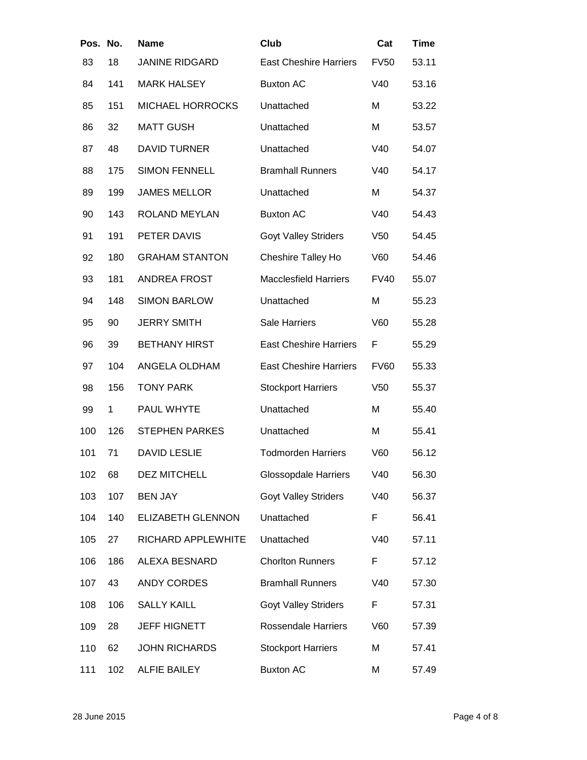| Pos. No. |     | <b>Name</b>              | Club                          | Cat             | <b>Time</b> |
|----------|-----|--------------------------|-------------------------------|-----------------|-------------|
| 83       | 18  | <b>JANINE RIDGARD</b>    | <b>East Cheshire Harriers</b> | <b>FV50</b>     | 53.11       |
| 84       | 141 | <b>MARK HALSEY</b>       | <b>Buxton AC</b>              | V40             | 53.16       |
| 85       | 151 | <b>MICHAEL HORROCKS</b>  | Unattached                    | Μ               | 53.22       |
| 86       | 32  | <b>MATT GUSH</b>         | Unattached                    | M               | 53.57       |
| 87       | 48  | <b>DAVID TURNER</b>      | Unattached                    | V40             | 54.07       |
| 88       | 175 | <b>SIMON FENNELL</b>     | <b>Bramhall Runners</b>       | V40             | 54.17       |
| 89       | 199 | <b>JAMES MELLOR</b>      | Unattached                    | Μ               | 54.37       |
| 90       | 143 | ROLAND MEYLAN            | <b>Buxton AC</b>              | V40             | 54.43       |
| 91       | 191 | PETER DAVIS              | <b>Goyt Valley Striders</b>   | V <sub>50</sub> | 54.45       |
| 92       | 180 | <b>GRAHAM STANTON</b>    | <b>Cheshire Talley Ho</b>     | V60             | 54.46       |
| 93       | 181 | <b>ANDREA FROST</b>      | <b>Macclesfield Harriers</b>  | <b>FV40</b>     | 55.07       |
| 94       | 148 | <b>SIMON BARLOW</b>      | Unattached                    | Μ               | 55.23       |
| 95       | 90  | <b>JERRY SMITH</b>       | Sale Harriers                 | V60             | 55.28       |
| 96       | 39  | <b>BETHANY HIRST</b>     | <b>East Cheshire Harriers</b> | F               | 55.29       |
| 97       | 104 | ANGELA OLDHAM            | <b>East Cheshire Harriers</b> | <b>FV60</b>     | 55.33       |
| 98       | 156 | <b>TONY PARK</b>         | <b>Stockport Harriers</b>     | V <sub>50</sub> | 55.37       |
| 99       | 1   | PAUL WHYTE               | Unattached                    | Μ               | 55.40       |
| 100      | 126 | <b>STEPHEN PARKES</b>    | Unattached                    | Μ               | 55.41       |
| 101      | 71  | <b>DAVID LESLIE</b>      | <b>Todmorden Harriers</b>     | V60             | 56.12       |
| 102      | 68  | <b>DEZ MITCHELL</b>      | <b>Glossopdale Harriers</b>   | V40             | 56.30       |
| 103      | 107 | <b>BEN JAY</b>           | <b>Goyt Valley Striders</b>   | V40             | 56.37       |
| 104      | 140 | <b>ELIZABETH GLENNON</b> | Unattached                    | F               | 56.41       |
| 105      | 27  | RICHARD APPLEWHITE       | Unattached                    | V40             | 57.11       |
| 106      | 186 | ALEXA BESNARD            | <b>Chorlton Runners</b>       | F               | 57.12       |
| 107      | 43  | <b>ANDY CORDES</b>       | <b>Bramhall Runners</b>       | V40             | 57.30       |
| 108      | 106 | <b>SALLY KAILL</b>       | <b>Goyt Valley Striders</b>   | F               | 57.31       |
| 109      | 28  | <b>JEFF HIGNETT</b>      | <b>Rossendale Harriers</b>    | V60             | 57.39       |
| 110      | 62  | <b>JOHN RICHARDS</b>     | <b>Stockport Harriers</b>     | Μ               | 57.41       |
| 111      | 102 | <b>ALFIE BAILEY</b>      | <b>Buxton AC</b>              | Μ               | 57.49       |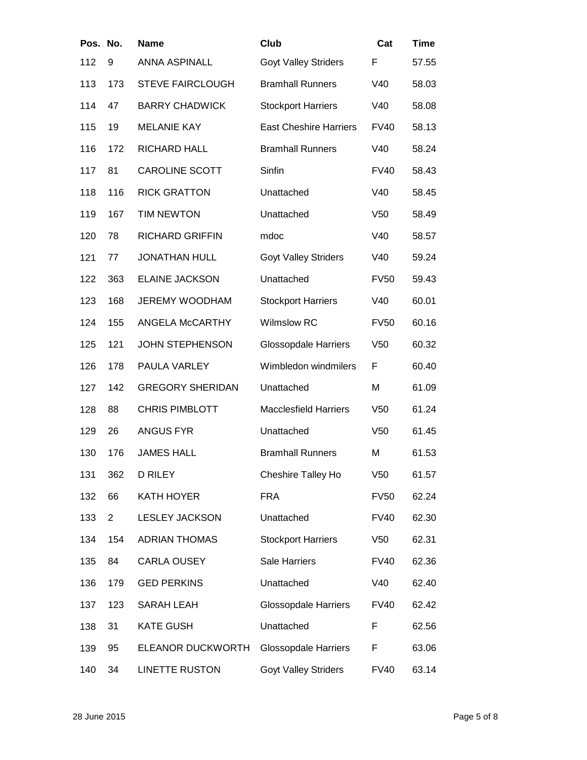| Pos. No. |                | <b>Name</b>             | Club                          | Cat             | <b>Time</b> |
|----------|----------------|-------------------------|-------------------------------|-----------------|-------------|
| 112      | 9              | <b>ANNA ASPINALL</b>    | <b>Goyt Valley Striders</b>   | F               | 57.55       |
| 113      | 173            | <b>STEVE FAIRCLOUGH</b> | <b>Bramhall Runners</b>       | V40             | 58.03       |
| 114      | 47             | <b>BARRY CHADWICK</b>   | <b>Stockport Harriers</b>     | V40             | 58.08       |
| 115      | 19             | <b>MELANIE KAY</b>      | <b>East Cheshire Harriers</b> | <b>FV40</b>     | 58.13       |
| 116      | 172            | <b>RICHARD HALL</b>     | <b>Bramhall Runners</b>       | V40             | 58.24       |
| 117      | 81             | <b>CAROLINE SCOTT</b>   | Sinfin                        | <b>FV40</b>     | 58.43       |
| 118      | 116            | <b>RICK GRATTON</b>     | Unattached                    | V40             | 58.45       |
| 119      | 167            | <b>TIM NEWTON</b>       | Unattached                    | V <sub>50</sub> | 58.49       |
| 120      | 78             | <b>RICHARD GRIFFIN</b>  | mdoc                          | V40             | 58.57       |
| 121      | 77             | <b>JONATHAN HULL</b>    | <b>Goyt Valley Striders</b>   | V40             | 59.24       |
| 122      | 363            | <b>ELAINE JACKSON</b>   | Unattached                    | <b>FV50</b>     | 59.43       |
| 123      | 168            | <b>JEREMY WOODHAM</b>   | <b>Stockport Harriers</b>     | V40             | 60.01       |
| 124      | 155            | ANGELA McCARTHY         | <b>Wilmslow RC</b>            | <b>FV50</b>     | 60.16       |
| 125      | 121            | <b>JOHN STEPHENSON</b>  | <b>Glossopdale Harriers</b>   | V <sub>50</sub> | 60.32       |
| 126      | 178            | PAULA VARLEY            | Wimbledon windmilers          | F               | 60.40       |
| 127      | 142            | <b>GREGORY SHERIDAN</b> | Unattached                    | М               | 61.09       |
| 128      | 88             | <b>CHRIS PIMBLOTT</b>   | <b>Macclesfield Harriers</b>  | V <sub>50</sub> | 61.24       |
| 129      | 26             | <b>ANGUS FYR</b>        | Unattached                    | V <sub>50</sub> | 61.45       |
| 130      | 176            | <b>JAMES HALL</b>       | <b>Bramhall Runners</b>       | Μ               | 61.53       |
| 131      | 362            | <b>D RILEY</b>          | Cheshire Talley Ho            | V <sub>50</sub> | 61.57       |
| 132      | 66             | KATH HOYER              | <b>FRA</b>                    | <b>FV50</b>     | 62.24       |
| 133      | $\overline{2}$ | <b>LESLEY JACKSON</b>   | Unattached                    | <b>FV40</b>     | 62.30       |
| 134      | 154            | <b>ADRIAN THOMAS</b>    | <b>Stockport Harriers</b>     | V <sub>50</sub> | 62.31       |
| 135      | 84             | <b>CARLA OUSEY</b>      | <b>Sale Harriers</b>          | <b>FV40</b>     | 62.36       |
| 136      | 179            | <b>GED PERKINS</b>      | Unattached                    | V40             | 62.40       |
| 137      | 123            | <b>SARAH LEAH</b>       | Glossopdale Harriers          | <b>FV40</b>     | 62.42       |
| 138      | 31             | <b>KATE GUSH</b>        | Unattached                    | F               | 62.56       |
| 139      | 95             | ELEANOR DUCKWORTH       | <b>Glossopdale Harriers</b>   | F               | 63.06       |
| 140      | 34             | <b>LINETTE RUSTON</b>   | <b>Goyt Valley Striders</b>   | <b>FV40</b>     | 63.14       |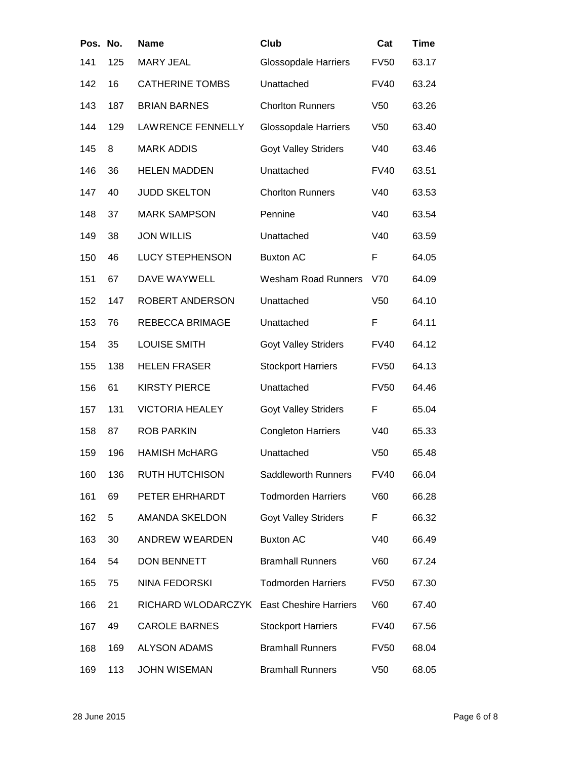| Pos. No. |     | <b>Name</b>              | Club                          | Cat             | <b>Time</b> |
|----------|-----|--------------------------|-------------------------------|-----------------|-------------|
| 141      | 125 | <b>MARY JEAL</b>         | <b>Glossopdale Harriers</b>   | <b>FV50</b>     | 63.17       |
| 142      | 16  | <b>CATHERINE TOMBS</b>   | Unattached                    | <b>FV40</b>     | 63.24       |
| 143      | 187 | <b>BRIAN BARNES</b>      | <b>Chorlton Runners</b>       | V <sub>50</sub> | 63.26       |
| 144      | 129 | <b>LAWRENCE FENNELLY</b> | <b>Glossopdale Harriers</b>   | V <sub>50</sub> | 63.40       |
| 145      | 8   | <b>MARK ADDIS</b>        | <b>Goyt Valley Striders</b>   | V40             | 63.46       |
| 146      | 36  | <b>HELEN MADDEN</b>      | Unattached                    | <b>FV40</b>     | 63.51       |
| 147      | 40  | <b>JUDD SKELTON</b>      | <b>Chorlton Runners</b>       | V40             | 63.53       |
| 148      | 37  | <b>MARK SAMPSON</b>      | Pennine                       | V40             | 63.54       |
| 149      | 38  | <b>JON WILLIS</b>        | Unattached                    | V40             | 63.59       |
| 150      | 46  | <b>LUCY STEPHENSON</b>   | <b>Buxton AC</b>              | F               | 64.05       |
| 151      | 67  | DAVE WAYWELL             | <b>Wesham Road Runners</b>    | V70             | 64.09       |
| 152      | 147 | ROBERT ANDERSON          | Unattached                    | V <sub>50</sub> | 64.10       |
| 153      | 76  | <b>REBECCA BRIMAGE</b>   | Unattached                    | F               | 64.11       |
| 154      | 35  | <b>LOUISE SMITH</b>      | <b>Goyt Valley Striders</b>   | <b>FV40</b>     | 64.12       |
| 155      | 138 | <b>HELEN FRASER</b>      | <b>Stockport Harriers</b>     | <b>FV50</b>     | 64.13       |
| 156      | 61  | <b>KIRSTY PIERCE</b>     | Unattached                    | <b>FV50</b>     | 64.46       |
| 157      | 131 | <b>VICTORIA HEALEY</b>   | <b>Goyt Valley Striders</b>   | F               | 65.04       |
| 158      | 87  | <b>ROB PARKIN</b>        | <b>Congleton Harriers</b>     | V40             | 65.33       |
| 159      | 196 | <b>HAMISH McHARG</b>     | Unattached                    | V <sub>50</sub> | 65.48       |
| 160      | 136 | <b>RUTH HUTCHISON</b>    | Saddleworth Runners           | <b>FV40</b>     | 66.04       |
| 161      | 69  | PETER EHRHARDT           | <b>Todmorden Harriers</b>     | V60             | 66.28       |
| 162      | 5   | <b>AMANDA SKELDON</b>    | <b>Goyt Valley Striders</b>   | F               | 66.32       |
| 163      | 30  | ANDREW WEARDEN           | <b>Buxton AC</b>              | V40             | 66.49       |
| 164      | 54  | DON BENNETT              | <b>Bramhall Runners</b>       | V60             | 67.24       |
| 165      | 75  | NINA FEDORSKI            | <b>Todmorden Harriers</b>     | <b>FV50</b>     | 67.30       |
| 166      | 21  | RICHARD WLODARCZYK       | <b>East Cheshire Harriers</b> | V60             | 67.40       |
| 167      | 49  | <b>CAROLE BARNES</b>     | <b>Stockport Harriers</b>     | <b>FV40</b>     | 67.56       |
| 168      | 169 | <b>ALYSON ADAMS</b>      | <b>Bramhall Runners</b>       | <b>FV50</b>     | 68.04       |
| 169      | 113 | <b>JOHN WISEMAN</b>      | <b>Bramhall Runners</b>       | V <sub>50</sub> | 68.05       |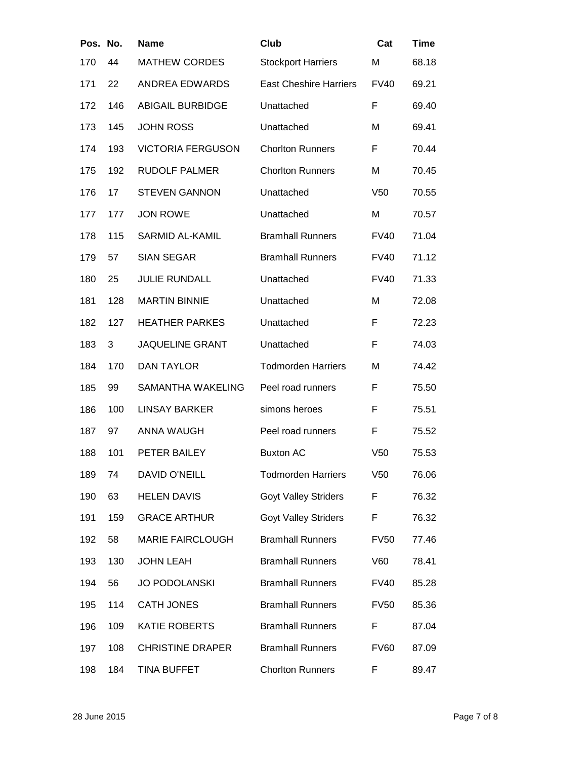| Pos. No. |     | <b>Name</b>              | Club                          | Cat             | <b>Time</b> |
|----------|-----|--------------------------|-------------------------------|-----------------|-------------|
| 170      | 44  | <b>MATHEW CORDES</b>     | <b>Stockport Harriers</b>     | M               | 68.18       |
| 171      | 22  | <b>ANDREA EDWARDS</b>    | <b>East Cheshire Harriers</b> | <b>FV40</b>     | 69.21       |
| 172      | 146 | <b>ABIGAIL BURBIDGE</b>  | Unattached                    | F               | 69.40       |
| 173      | 145 | <b>JOHN ROSS</b>         | Unattached                    | M               | 69.41       |
| 174      | 193 | <b>VICTORIA FERGUSON</b> | <b>Chorlton Runners</b>       | F               | 70.44       |
| 175      | 192 | <b>RUDOLF PALMER</b>     | <b>Chorlton Runners</b>       | M               | 70.45       |
| 176      | 17  | <b>STEVEN GANNON</b>     | Unattached                    | V <sub>50</sub> | 70.55       |
| 177      | 177 | <b>JON ROWE</b>          | Unattached                    | M               | 70.57       |
| 178      | 115 | SARMID AL-KAMIL          | <b>Bramhall Runners</b>       | <b>FV40</b>     | 71.04       |
| 179      | 57  | <b>SIAN SEGAR</b>        | <b>Bramhall Runners</b>       | <b>FV40</b>     | 71.12       |
| 180      | 25  | <b>JULIE RUNDALL</b>     | Unattached                    | <b>FV40</b>     | 71.33       |
| 181      | 128 | <b>MARTIN BINNIE</b>     | Unattached                    | M               | 72.08       |
| 182      | 127 | <b>HEATHER PARKES</b>    | Unattached                    | F               | 72.23       |
| 183      | 3   | <b>JAQUELINE GRANT</b>   | Unattached                    | F               | 74.03       |
| 184      | 170 | <b>DAN TAYLOR</b>        | <b>Todmorden Harriers</b>     | M               | 74.42       |
| 185      | 99  | SAMANTHA WAKELING        | Peel road runners             | F               | 75.50       |
| 186      | 100 | <b>LINSAY BARKER</b>     | simons heroes                 | F               | 75.51       |
| 187      | 97  | <b>ANNA WAUGH</b>        | Peel road runners             | F               | 75.52       |
| 188      | 101 | PETER BAILEY             | <b>Buxton AC</b>              | V <sub>50</sub> | 75.53       |
| 189      | 74  | DAVID O'NEILL            | <b>Todmorden Harriers</b>     | V <sub>50</sub> | 76.06       |
| 190      | 63  | <b>HELEN DAVIS</b>       | <b>Goyt Valley Striders</b>   | F               | 76.32       |
| 191      | 159 | <b>GRACE ARTHUR</b>      | <b>Goyt Valley Striders</b>   | F               | 76.32       |
| 192      | 58  | <b>MARIE FAIRCLOUGH</b>  | <b>Bramhall Runners</b>       | <b>FV50</b>     | 77.46       |
| 193      | 130 | <b>JOHN LEAH</b>         | <b>Bramhall Runners</b>       | V60             | 78.41       |
| 194      | 56  | <b>JO PODOLANSKI</b>     | <b>Bramhall Runners</b>       | <b>FV40</b>     | 85.28       |
| 195      | 114 | <b>CATH JONES</b>        | <b>Bramhall Runners</b>       | <b>FV50</b>     | 85.36       |
| 196      | 109 | <b>KATIE ROBERTS</b>     | <b>Bramhall Runners</b>       | F               | 87.04       |
| 197      | 108 | <b>CHRISTINE DRAPER</b>  | <b>Bramhall Runners</b>       | <b>FV60</b>     | 87.09       |
| 198      | 184 | TINA BUFFET              | <b>Chorlton Runners</b>       | F               | 89.47       |